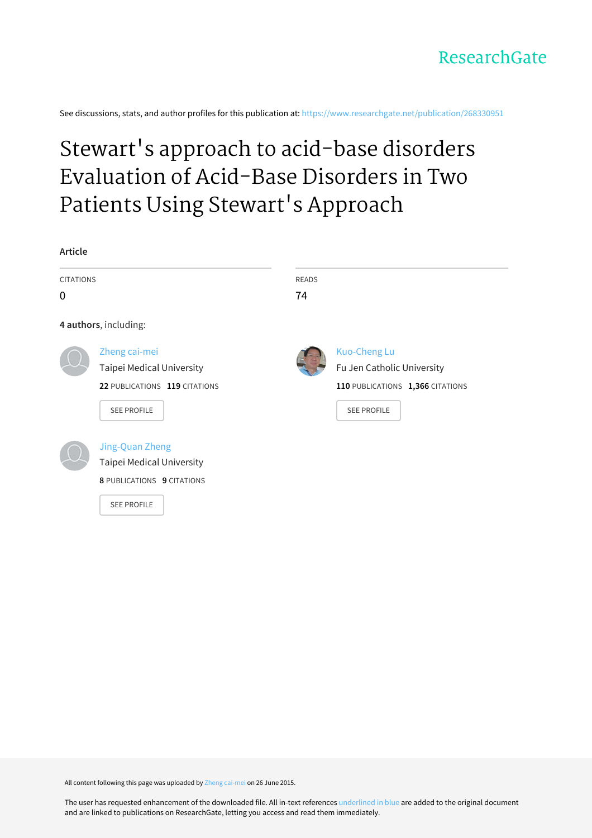

See discussions, stats, and author profiles for this publication at: [https://www.researchgate.net/publication/268330951](https://www.researchgate.net/publication/268330951_Stewart%27s_approach_to_acid-base_disorders_Evaluation_of_Acid-Base_Disorders_in_Two_Patients_Using_Stewart%27s_Approach?enrichId=rgreq-5b357e6a76994937ac6a71bae977df15-XXX&enrichSource=Y292ZXJQYWdlOzI2ODMzMDk1MTtBUzoyNDQ1Mzg2MTQ3NDMwNDBAMTQzNTMxMzk1Nzg0MA%3D%3D&el=1_x_2&_esc=publicationCoverPdf)

# Stewart's approach to acid-base disorders [Evaluation](https://www.researchgate.net/publication/268330951_Stewart%27s_approach_to_acid-base_disorders_Evaluation_of_Acid-Base_Disorders_in_Two_Patients_Using_Stewart%27s_Approach?enrichId=rgreq-5b357e6a76994937ac6a71bae977df15-XXX&enrichSource=Y292ZXJQYWdlOzI2ODMzMDk1MTtBUzoyNDQ1Mzg2MTQ3NDMwNDBAMTQzNTMxMzk1Nzg0MA%3D%3D&el=1_x_3&_esc=publicationCoverPdf) of Acid-Base Disorders in Two Patients Using Stewart's Approach



All content following this page was uploaded by Zheng [cai-mei](https://www.researchgate.net/profile/Zheng_Cai-mei?enrichId=rgreq-5b357e6a76994937ac6a71bae977df15-XXX&enrichSource=Y292ZXJQYWdlOzI2ODMzMDk1MTtBUzoyNDQ1Mzg2MTQ3NDMwNDBAMTQzNTMxMzk1Nzg0MA%3D%3D&el=1_x_10&_esc=publicationCoverPdf) on 26 June 2015.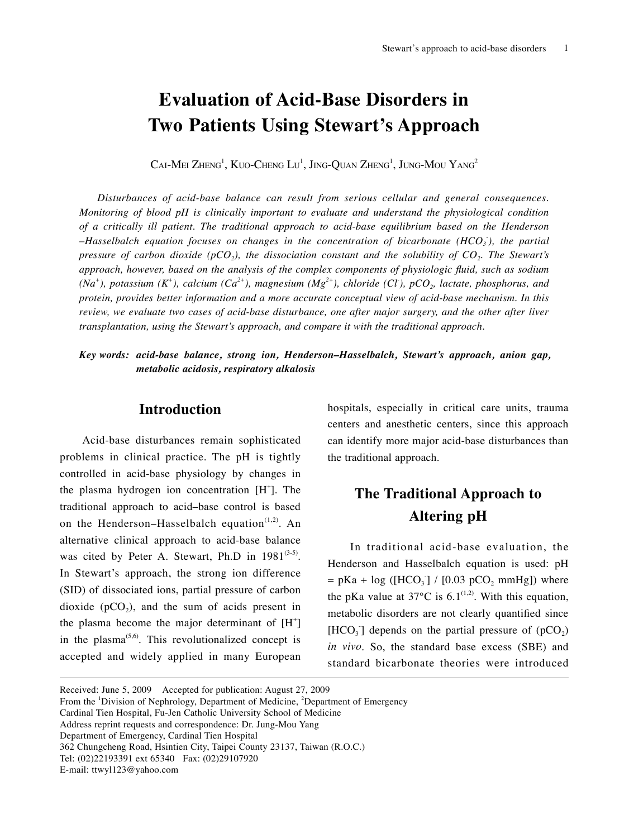## **Evaluation of Acid-Base Disorders in Two Patients Using Stewart's Approach**

 $\mathrm{CaI}\text{-}\mathrm{Mei}$  Zheng $^1\mathrm{,K}$ uo-Cheng  $\mathrm{Lu}^1\mathrm{,J}$ ing-Quan Zheng $^1\mathrm{,J}$ ung-Mou Yang $^2$ 

*Disturbances of acid-base balance can result from serious cellular and general consequences. Monitoring of blood pH is clinically important to evaluate and understand the physiological condition of a critically ill patient. The traditional approach to acid-base equilibrium based on the Henderson –Hasselbalch equation focuses on changes in the concentration of bicarbonate (HCO3 - ), the partial pressure of carbon dioxide (pCO<sub>2</sub>), the dissociation constant and the solubility of*  $CO<sub>2</sub>$ *. The Stewart's approach, however, based on the analysis of the complex components of physiologic fluid, such as sodium*   $(Na^+)$ , potassium  $(K^+)$ , calcium  $(Ca^{2+})$ , magnesium  $(Mg^{2+})$ , chloride  $(CI)$ , pCO<sub>2</sub>, lactate, phosphorus, and *protein, provides better information and a more accurate conceptual view of acid-base mechanism. In this review, we evaluate two cases of acid-base disturbance, one after major surgery, and the other after liver transplantation, using the Stewart's approach, and compare it with the traditional approach.*

*Key words: acid-base balance, strong ion, Henderson–Hasselbalch, Stewart's approach, anion gap, metabolic acidosis, respiratory alkalosis*

#### **Introduction**

Acid-base disturbances remain sophisticated problems in clinical practice. The pH is tightly controlled in acid-base physiology by changes in the plasma hydrogen ion concentration  $[H^+]$ . The traditional approach to acid–base control is based on the Henderson–Hasselbalch equation<sup>(1,2)</sup>. An alternative clinical approach to acid-base balance was cited by Peter A. Stewart, Ph.D in  $1981^{(3-5)}$ . In Stewart's approach, the strong ion difference (SID) of dissociated ions, partial pressure of carbon dioxide  $(pCO<sub>2</sub>)$ , and the sum of acids present in the plasma become the major determinant of  $[H^+]$ in the plasma<sup> $(5,6)$ </sup>. This revolutionalized concept is accepted and widely applied in many European

hospitals, especially in critical care units, trauma centers and anesthetic centers, since this approach can identify more major acid-base disturbances than the traditional approach.

## **The Traditional Approach to Altering pH**

In traditional acid-base evaluation, the Henderson and Hasselbalch equation is used: pH  $=$  pKa + log ([HCO<sub>3</sub>] / [0.03 pCO<sub>2</sub> mmHg]) where the pKa value at 37 $^{\circ}$ C is 6.1<sup>(1,2)</sup>. With this equation, metabolic disorders are not clearly quantified since  $[HCO<sub>3</sub>]$  depends on the partial pressure of  $(pCO<sub>2</sub>)$ *in vivo*. So, the standard base excess (SBE) and standard bicarbonate theories were introduced

Department of Emergency, Cardinal Tien Hospital

Received: June 5, 2009 Accepted for publication: August 27, 2009

From the <sup>1</sup>Division of Nephrology, Department of Medicine, <sup>2</sup>Department of Emergency

Cardinal Tien Hospital, Fu-Jen Catholic University School of Medicine

Address reprint requests and correspondence: Dr. Jung-Mou Yang

<sup>362</sup> Chungcheng Road, Hsintien City, Taipei County 23137, Taiwan (R.O.C.)

Tel: (02)22193391 ext 65340 Fax: (02)29107920

E-mail: ttwyl123@yahoo.com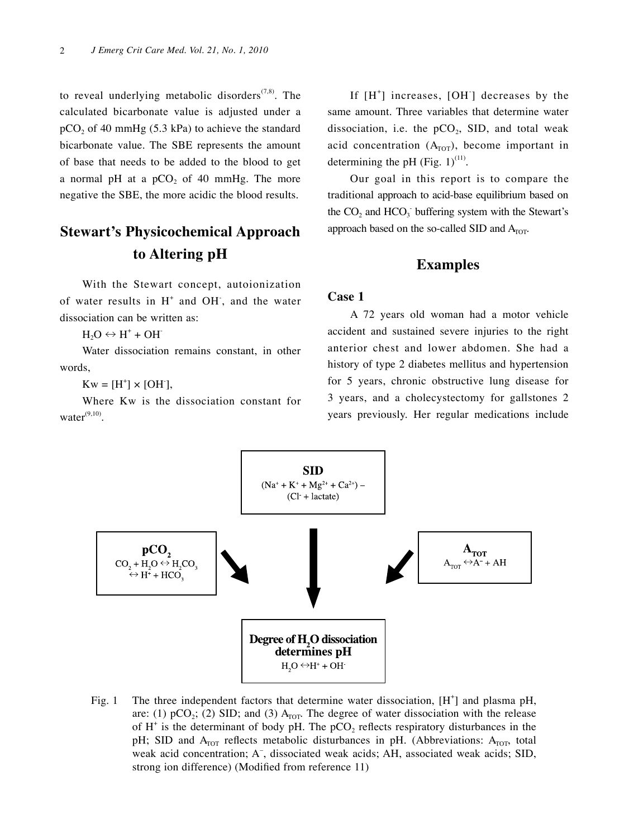to reveal underlying metabolic disorders $(7,8)$ . The calculated bicarbonate value is adjusted under a  $pCO<sub>2</sub>$  of 40 mmHg (5.3 kPa) to achieve the standard bicarbonate value. The SBE represents the amount of base that needs to be added to the blood to get a normal pH at a  $pCO<sub>2</sub>$  of 40 mmHg. The more negative the SBE, the more acidic the blood results.

### **Stewart's Physicochemical Approach to Altering pH**

With the Stewart concept, autoionization of water results in  $H^+$  and OH, and the water dissociation can be written as:

 $H_2O \leftrightarrow H^+ + OH^-$ 

Water dissociation remains constant, in other words,

 $Kw = [H^+] \times [OH^+]$ ,

Where Kw is the dissociation constant for  $water^{(9,10)}$ 

If [H<sup>+</sup>] increases, [OH<sup>-</sup>] decreases by the same amount. Three variables that determine water dissociation, i.e. the  $pCO<sub>2</sub>$ , SID, and total weak acid concentration  $(A<sub>TOT</sub>)$ , become important in determining the pH (Fig.  $1)^{(11)}$ .

Our goal in this report is to compare the traditional approach to acid-base equilibrium based on the  $CO<sub>2</sub>$  and  $HCO<sub>3</sub>$  buffering system with the Stewart's approach based on the so-called SID and  $A<sub>TOT</sub>$ .

#### **Examples**

#### **Case 1**

A 72 years old woman had a motor vehicle accident and sustained severe injuries to the right anterior chest and lower abdomen. She had a history of type 2 diabetes mellitus and hypertension for 5 years, chronic obstructive lung disease for 3 years, and a cholecystectomy for gallstones 2 years previously. Her regular medications include



Fig. 1 The three independent factors that determine water dissociation,  $[H^+]$  and plasma pH, are: (1) pCO<sub>2</sub>; (2) SID; and (3)  $A<sub>TOT</sub>$ . The degree of water dissociation with the release of  $H^+$  is the determinant of body pH. The pCO<sub>2</sub> reflects respiratory disturbances in the pH; SID and  $A_{TOT}$  reflects metabolic disturbances in pH. (Abbreviations:  $A_{TOT}$ , total weak acid concentration; A<sup>-</sup>, dissociated weak acids; AH, associated weak acids; SID, strong ion difference) (Modified from reference 11)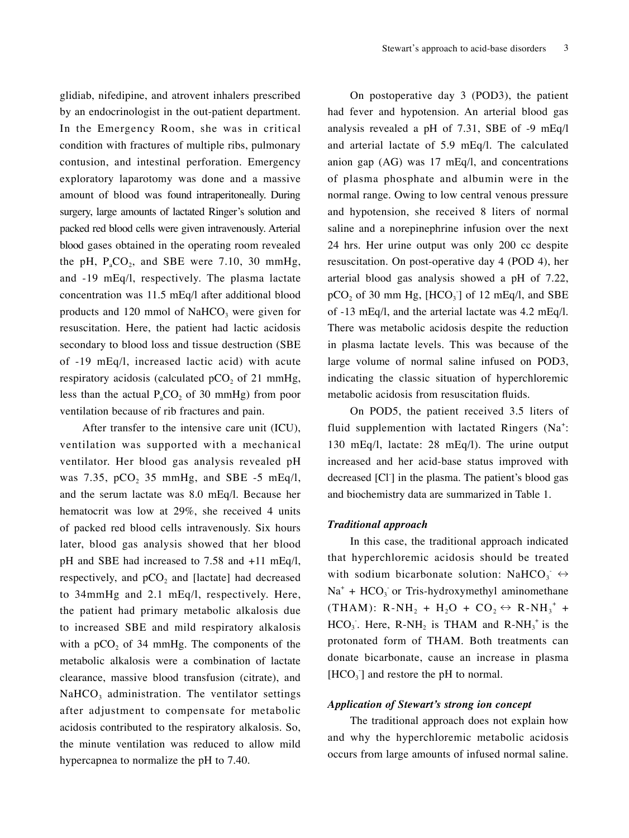glidiab, nifedipine, and atrovent inhalers prescribed by an endocrinologist in the out-patient department. In the Emergency Room, she was in critical condition with fractures of multiple ribs, pulmonary contusion, and intestinal perforation. Emergency exploratory laparotomy was done and a massive amount of blood was found intraperitoneally. During surgery, large amounts of lactated Ringer's solution and packed red blood cells were given intravenously. Arterial blood gases obtained in the operating room revealed the pH,  $P_{a}CO_{2}$ , and SBE were 7.10, 30 mmHg, and -19 mEq/l, respectively. The plasma lactate concentration was 11.5 mEq/l after additional blood products and 120 mmol of  $NaHCO<sub>3</sub>$  were given for resuscitation. Here, the patient had lactic acidosis secondary to blood loss and tissue destruction (SBE of -19 mEq/l, increased lactic acid) with acute respiratory acidosis (calculated  $pCO<sub>2</sub>$  of 21 mmHg, less than the actual  $P_{a}CO_{2}$  of 30 mmHg) from poor ventilation because of rib fractures and pain.

After transfer to the intensive care unit (ICU), ventilation was supported with a mechanical ventilator. Her blood gas analysis revealed pH was 7.35, pCO<sub>2</sub> 35 mmHg, and SBE -5 mEq/l, and the serum lactate was 8.0 mEq/l. Because her hematocrit was low at 29%, she received 4 units of packed red blood cells intravenously. Six hours later, blood gas analysis showed that her blood pH and SBE had increased to 7.58 and +11 mEq/l, respectively, and  $pCO<sub>2</sub>$  and [lactate] had decreased to 34mmHg and 2.1 mEq/l, respectively. Here, the patient had primary metabolic alkalosis due to increased SBE and mild respiratory alkalosis with a  $pCO<sub>2</sub>$  of 34 mmHg. The components of the metabolic alkalosis were a combination of lactate clearance, massive blood transfusion (citrate), and  $NAHCO<sub>3</sub>$  administration. The ventilator settings after adjustment to compensate for metabolic acidosis contributed to the respiratory alkalosis. So, the minute ventilation was reduced to allow mild hypercapnea to normalize the pH to 7.40.

On postoperative day 3 (POD3), the patient had fever and hypotension. An arterial blood gas analysis revealed a pH of 7.31, SBE of -9 mEq/l and arterial lactate of 5.9 mEq/l. The calculated anion gap (AG) was 17 mEq/l, and concentrations of plasma phosphate and albumin were in the normal range. Owing to low central venous pressure and hypotension, she received 8 liters of normal saline and a norepinephrine infusion over the next 24 hrs. Her urine output was only 200 cc despite resuscitation. On post-operative day 4 (POD 4), her arterial blood gas analysis showed a pH of 7.22,  $pCO<sub>2</sub>$  of 30 mm Hg, [HCO<sub>3</sub>] of 12 mEq/l, and SBE of -13 mEq/l, and the arterial lactate was 4.2 mEq/l. There was metabolic acidosis despite the reduction in plasma lactate levels. This was because of the large volume of normal saline infused on POD3, indicating the classic situation of hyperchloremic metabolic acidosis from resuscitation fluids.

On POD5, the patient received 3.5 liters of fluid supplemention with lactated Ringers (Na<sup>+</sup>: 130 mEq/l, lactate: 28 mEq/l). The urine output increased and her acid-base status improved with decreased [Cl<sup>-</sup>] in the plasma. The patient's blood gas and biochemistry data are summarized in Table 1.

#### *Traditional approach*

In this case, the traditional approach indicated that hyperchloremic acidosis should be treated with sodium bicarbonate solution: NaHCO<sub>3</sub>  $\leftrightarrow$  $Na<sup>+</sup> + HCO<sub>3</sub>$  or Tris-hydroxymethyl aminomethane (THAM):  $R\text{-}NH_2 + H_2O + CO_2 \leftrightarrow R\text{-}NH_3^+ +$  $HCO<sub>3</sub>$ . Here, R-NH<sub>2</sub> is THAM and R-NH<sub>3</sub><sup>+</sup> is the protonated form of THAM. Both treatments can donate bicarbonate, cause an increase in plasma  $[HCO<sub>3</sub>]$  and restore the pH to normal.

#### *Application of Stewart's strong ion concept*

The traditional approach does not explain how and why the hyperchloremic metabolic acidosis occurs from large amounts of infused normal saline.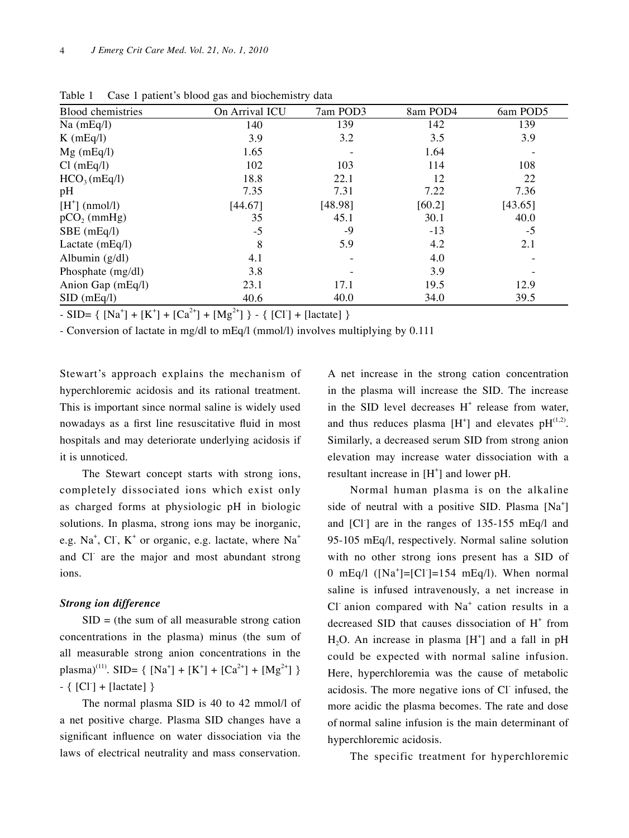| л.                       | $\circ$        | ┙        |          |          |
|--------------------------|----------------|----------|----------|----------|
| Blood chemistries        | On Arrival ICU | 7am POD3 | 8am POD4 | 6am POD5 |
| $Na$ (mEq/l)             | 140            | 139      | 142      | 139      |
| $K$ (mEq $\ell$ )        | 3.9            | 3.2      | 3.5      | 3.9      |
| $Mg$ (mEq/l)             | 1.65           |          | 1.64     |          |
| Cl(mEq/l)                | 102            | 103      | 114      | 108      |
| HCO <sub>3</sub> (mEq/l) | 18.8           | 22.1     | 12       | 22       |
| pH                       | 7.35           | 7.31     | 7.22     | 7.36     |
| $[H^+]$ (nmol/l)         | [44.67]        | [48.98]  | [60.2]   | [43.65]  |
| $pCO2$ (mmHg)            | 35             | 45.1     | 30.1     | 40.0     |
| SBE (mEq/l)              | $-5$           | -9       | $-13$    | $-5$     |
| Lactate $(mEq/l)$        | 8              | 5.9      | 4.2      | 2.1      |
| Albumin $(g/dl)$         | 4.1            |          | 4.0      |          |
| Phosphate (mg/dl)        | 3.8            |          | 3.9      |          |
| Anion Gap (mEq/l)        | 23.1           | 17.1     | 19.5     | 12.9     |
| SID(mEq/l)               | 40.6           | 40.0     | 34.0     | 39.5     |

Table 1 Case 1 patient's blood gas and biochemistry data

- SID= {  $[Na^{+}] + [K^{+}] + [Ca^{2+}] + [Mg^{2+}]$  } - {  $[Cl^{+}]$  + [lactate] }

- Conversion of lactate in mg/dl to mEq/l (mmol/l) involves multiplying by 0.111

Stewart's approach explains the mechanism of hyperchloremic acidosis and its rational treatment. This is important since normal saline is widely used nowadays as a first line resuscitative fluid in most hospitals and may deteriorate underlying acidosis if it is unnoticed.

The Stewart concept starts with strong ions, completely dissociated ions which exist only as charged forms at physiologic pH in biologic solutions. In plasma, strong ions may be inorganic, e.g. Na<sup>+</sup>, Cl<sup>-</sup>, K<sup>+</sup> or organic, e.g. lactate, where Na<sup>+</sup> and Cl<sup>-</sup> are the major and most abundant strong ions.

#### *Strong ion difference*

 $SID =$  (the sum of all measurable strong cation concentrations in the plasma) minus (the sum of all measurable strong anion concentrations in the plasma)<sup>(11)</sup>. SID= { [Na<sup>+</sup>] + [K<sup>+</sup>] + [Ca<sup>2+</sup>] + [Mg<sup>2+</sup>] }  $- \{ [Cl] + [lactate] \}$ 

The normal plasma SID is 40 to 42 mmol/l of a net positive charge. Plasma SID changes have a significant influence on water dissociation via the laws of electrical neutrality and mass conservation. A net increase in the strong cation concentration in the plasma will increase the SID. The increase in the SID level decreases  $H^+$  release from water, and thus reduces plasma  $[H^+]$  and elevates p $H^{(1,2)}$ . Similarly, a decreased serum SID from strong anion elevation may increase water dissociation with a resultant increase in  $[H^+]$  and lower pH.

Normal human plasma is on the alkaline side of neutral with a positive SID. Plasma [Na<sup>+</sup>] and [CI<sup>-</sup>] are in the ranges of 135-155 mEq/l and 95-105 mEq/l, respectively. Normal saline solution with no other strong ions present has a SID of 0 mEq/l  $([Na^+] = [Cl^-] = 154$  mEq/l). When normal saline is infused intravenously, a net increase in Cl anion compared with  $Na<sup>+</sup>$  cation results in a decreased SID that causes dissociation of H<sup>+</sup> from  $H_2O$ . An increase in plasma  $[H^+]$  and a fall in pH could be expected with normal saline infusion. Here, hyperchloremia was the cause of metabolic acidosis. The more negative ions of Cl- infused, the more acidic the plasma becomes. The rate and dose of normal saline infusion is the main determinant of hyperchloremic acidosis.

The specific treatment for hyperchloremic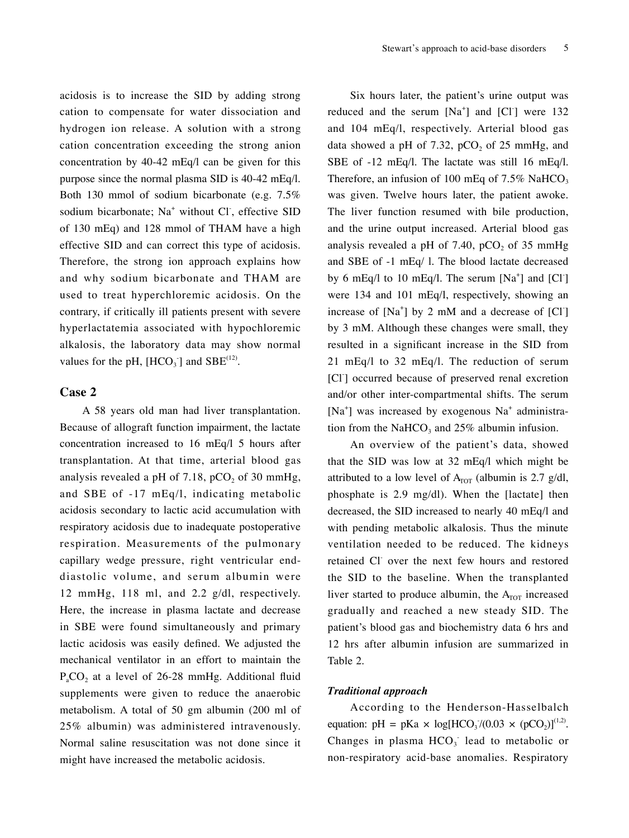acidosis is to increase the SID by adding strong cation to compensate for water dissociation and hydrogen ion release. A solution with a strong cation concentration exceeding the strong anion concentration by 40-42 mEq/l can be given for this purpose since the normal plasma SID is 40-42 mEq/l. Both 130 mmol of sodium bicarbonate (e.g. 7.5% sodium bicarbonate; Na<sup>+</sup> without Cl, effective SID of 130 mEq) and 128 mmol of THAM have a high effective SID and can correct this type of acidosis. Therefore, the strong ion approach explains how and why sodium bicarbonate and THAM are used to treat hyperchloremic acidosis. On the contrary, if critically ill patients present with severe hyperlactatemia associated with hypochloremic alkalosis, the laboratory data may show normal values for the pH,  $[HCO_3]$  and  $SBE^{(12)}$ .

#### **Case 2**

A 58 years old man had liver transplantation. Because of allograft function impairment, the lactate concentration increased to 16 mEq/l 5 hours after transplantation. At that time, arterial blood gas analysis revealed a pH of 7.18,  $pCO<sub>2</sub>$  of 30 mmHg, and SBE of -17 mEq/l, indicating metabolic acidosis secondary to lactic acid accumulation with respiratory acidosis due to inadequate postoperative respiration. Measurements of the pulmonary capillary wedge pressure, right ventricular enddiastolic volume, and serum albumin were 12 mmHg, 118 ml, and 2.2 g/dl, respectively. Here, the increase in plasma lactate and decrease in SBE were found simultaneously and primary lactic acidosis was easily defined. We adjusted the mechanical ventilator in an effort to maintain the  $P_{a}CO_{2}$  at a level of 26-28 mmHg. Additional fluid supplements were given to reduce the anaerobic metabolism. A total of 50 gm albumin (200 ml of 25% albumin) was administered intravenously. Normal saline resuscitation was not done since it might have increased the metabolic acidosis.

Six hours later, the patient's urine output was reduced and the serum  $[Na^+]$  and  $[Cl^-]$  were 132 and 104 mEq/l, respectively. Arterial blood gas data showed a pH of 7.32, pCO<sub>2</sub> of  $25 \text{ mmHg}$ , and SBE of -12 mEq/l. The lactate was still 16 mEq/l. Therefore, an infusion of 100 mEq of  $7.5\%$  NaHCO<sub>3</sub> was given. Twelve hours later, the patient awoke. The liver function resumed with bile production, and the urine output increased. Arterial blood gas analysis revealed a pH of 7.40, pCO<sub>2</sub> of  $35 \text{ mmHg}$ and SBE of -1 mEq/ l. The blood lactate decreased by 6 mEq $\alpha$  to 10 mEq $\alpha$ . The serum [Na<sup>+</sup>] and [Cl<sup>-</sup>] were 134 and 101 mEq/l, respectively, showing an increase of  $[Na^+]$  by 2 mM and a decrease of  $[CI]$ by 3 mM. Although these changes were small, they resulted in a significant increase in the SID from 21 mEq/l to 32 mEq/l. The reduction of serum [Cl<sup>-</sup>] occurred because of preserved renal excretion and/or other inter-compartmental shifts. The serum [Na<sup>+</sup>] was increased by exogenous Na<sup>+</sup> administration from the NaHCO<sub>3</sub> and  $25\%$  albumin infusion.

An overview of the patient's data, showed that the SID was low at 32 mEq/l which might be attributed to a low level of  $A<sub>TOT</sub>$  (albumin is 2.7 g/dl, phosphate is 2.9 mg/dl). When the [lactate] then decreased, the SID increased to nearly 40 mEq/l and with pending metabolic alkalosis. Thus the minute ventilation needed to be reduced. The kidneys retained Cl over the next few hours and restored the SID to the baseline. When the transplanted liver started to produce albumin, the  $A_{\text{TOT}}$  increased gradually and reached a new steady SID. The patient's blood gas and biochemistry data 6 hrs and 12 hrs after albumin infusion are summarized in Table 2.

#### *Traditional approach*

According to the Henderson-Hasselbalch equation: pH = pKa  $\times$  log[HCO<sub>3</sub>/(0.03  $\times$  (pCO<sub>2</sub>)]<sup>(1,2)</sup>. Changes in plasma  $HCO<sub>3</sub>$  lead to metabolic or non-respiratory acid-base anomalies. Respiratory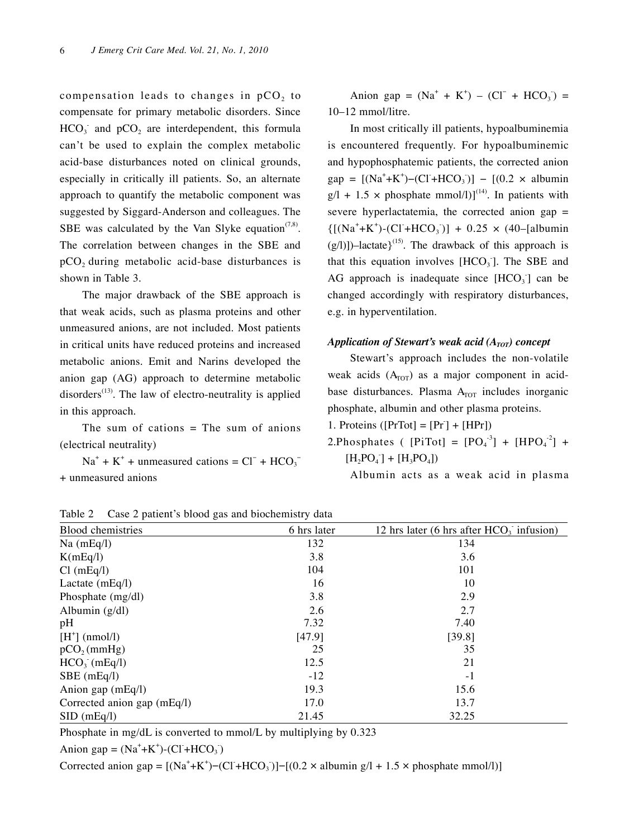compensation leads to changes in  $pCO<sub>2</sub>$  to compensate for primary metabolic disorders. Since  $HCO<sub>3</sub>$  and  $pCO<sub>2</sub>$  are interdependent, this formula can't be used to explain the complex metabolic acid-base disturbances noted on clinical grounds, especially in critically ill patients. So, an alternate approach to quantify the metabolic component was suggested by Siggard-Anderson and colleagues. The SBE was calculated by the Van Slyke equation<sup> $(7,8)$ </sup>. The correlation between changes in the SBE and  $pCO<sub>2</sub>$  during metabolic acid-base disturbances is shown in Table 3.

The major drawback of the SBE approach is that weak acids, such as plasma proteins and other unmeasured anions, are not included. Most patients in critical units have reduced proteins and increased metabolic anions. Emit and Narins developed the anion gap (AG) approach to determine metabolic disorders<sup> $(13)$ </sup>. The law of electro-neutrality is applied in this approach.

The sum of cations  $=$  The sum of anions (electrical neutrality)

 $Na^{+} + K^{+}$  + unmeasured cations =  $Cl^{-}$  +  $HCO_3^-$ + unmeasured anions

Anion gap =  $(Na^{+} + K^{+}) - (Cl^{-} + HCO_{3})$  = 10–12 mmol/litre.

In most critically ill patients, hypoalbuminemia is encountered frequently. For hypoalbuminemic and hypophosphatemic patients, the corrected anion  $gap = [(Na^+ + K^+) - (Cl + HCO_3)] - [(0.2 \times albumin$  $g/1 + 1.5 \times$  phosphate mmol/l)]<sup>(14)</sup>. In patients with severe hyperlactatemia, the corrected anion gap  $=$  ${[(Na^+ + K^+)- (Cl + HCO_3)] + 0.25 \times (40-[albumin])}$  $(g/1)$ ])–lactate}<sup>(15)</sup>. The drawback of this approach is that this equation involves  $[HCO<sub>3</sub>]$ . The SBE and AG approach is inadequate since  $[HCO<sub>3</sub>]$  can be changed accordingly with respiratory disturbances, e.g. in hyperventilation.

#### *Application of Stewart's weak acid (A<sub>TOT</sub>) concept*

Stewart's approach includes the non-volatile weak acids  $(A<sub>TOT</sub>)$  as a major component in acidbase disturbances. Plasma  $A<sub>TOT</sub>$  includes inorganic phosphate, albumin and other plasma proteins.

1. Proteins ([ $PrTot$ ] =  $[Pr] + [HPr]$ )

2. Phosphates (  $[PiTot] = [PO<sub>4</sub><sup>-3</sup>] + [HPO<sub>4</sub><sup>-2</sup>] +$  $[H_2PO_4] + [H_3PO_4]$ 

Albumin acts as a weak acid in plasma

| Table $\mathcal{L}$ case $\mathcal{L}$ patient s blood gas and blochemistry data |             |                                            |  |  |  |
|----------------------------------------------------------------------------------|-------------|--------------------------------------------|--|--|--|
| <b>Blood</b> chemistries                                                         | 6 hrs later | 12 hrs later (6 hrs after $HCO3$ infusion) |  |  |  |
| $Na$ (mEq/l)                                                                     | 132         | 134                                        |  |  |  |
| K(mEq/I)                                                                         | 3.8         | 3.6                                        |  |  |  |
| Cl(mEq/l)                                                                        | 104         | 101                                        |  |  |  |
| Lactate $(mEq/l)$                                                                | 16          | 10                                         |  |  |  |
| Phosphate (mg/dl)                                                                | 3.8         | 2.9                                        |  |  |  |
| Albumin $(g/dl)$                                                                 | 2.6         | 2.7                                        |  |  |  |
| pH                                                                               | 7.32        | 7.40                                       |  |  |  |
| $[H^+]$ (nmol/l)                                                                 | [47.9]      | [39.8]                                     |  |  |  |
| pCO <sub>2</sub> (mmHg)                                                          | 25          | 35                                         |  |  |  |
| $HCO3$ (mEq/l)                                                                   | 12.5        | 21                                         |  |  |  |
| $SBE$ (mEq/l)                                                                    | $-12$       | $-1$                                       |  |  |  |
| Anion gap (mEq/l)                                                                | 19.3        | 15.6                                       |  |  |  |
| Corrected anion gap (mEq/l)                                                      | 17.0        | 13.7                                       |  |  |  |
| SID(mEq/l)                                                                       | 21.45       | 32.25                                      |  |  |  |

Table 2 Case 2 patient's blood gas and biochemistry data

Phosphate in mg/dL is converted to mmol/L by multiplying by 0.323

Anion gap =  $(Na^+ + K^+)$ - $(Cl^+ + HCO_3)$ 

Corrected anion gap =  $[(Na^+ + K^+) - (CI + HCO_3)] - [(0.2 \times albumin g/l + 1.5 \times phosphate mmol/l)]$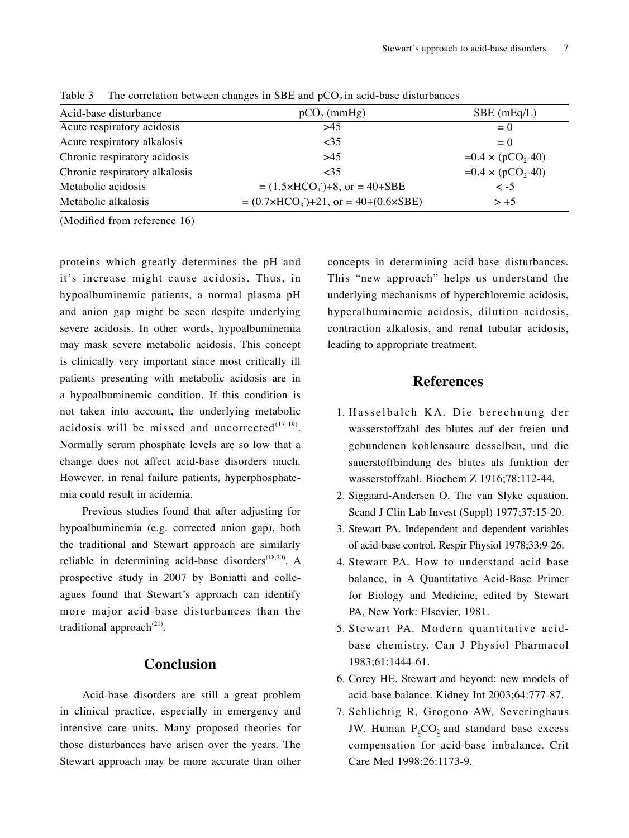| $pCO$ <sub>2</sub> (mmHg)                    | $SBE$ (mEq/L)                                              |
|----------------------------------------------|------------------------------------------------------------|
| >45                                          | $= 0$                                                      |
| <35                                          | $= 0$                                                      |
| >45                                          | $=0.4 \times (pCO_{2} - 40)$                               |
| <35                                          | $=0.4 \times (pCO_{2} - 40)$                               |
| $= (1.5 \times HCO_3) + 8$ , or $= 40 + SBE$ | $\leq$ -5                                                  |
|                                              | $> +5$                                                     |
|                                              | $= (0.7 \times HCO_3) + 21$ , or $= 40 + (0.6 \times SBE)$ |

Table 3 The correlation between changes in SBE and  $pCO<sub>2</sub>$  in acid-base disturbances

(Modified from reference 16)

proteins which greatly determines the pH and it's increase might cause acidosis. Thus, in hypoalbuminemic patients, a normal plasma pH and anion gap might be seen despite underlying severe acidosis. In other words, hypoalbuminemia may mask severe metabolic acidosis. This concept is clinically very important since most critically ill patients presenting with metabolic acidosis are in a hypoalbuminemic condition. If this condition is not taken into account, the underlying metabolic acidosis will be missed and uncorrected $(17-19)$ . Normally serum phosphate levels are so low that a change does not affect acid-base disorders much. However, in renal failure patients, hyperphosphatemia could result in acidemia.

Previous studies found that after adjusting for hypoalbuminemia (e.g. corrected anion gap), both the traditional and Stewart approach are similarly reliable in determining acid-base disorders<sup> $(18,20)$ </sup>. A prospective study in 2007 by Boniatti and colleagues found that Stewart's approach can identify more major acid-base disturbances than the traditional approach $^{(21)}$ .

#### **Conclusion**

Acid-base disorders are still a great problem in clinical practice, especially in emergency and intensive care units. Many proposed theories for those disturbances have arisen over the years. The Stewart approach may be more accurate than other

concepts in determining acid-base disturbances. This "new approach" helps us understand the underlying mechanisms of hyperchloremic acidosis, hyperalbuminemic acidosis, dilution acidosis, contraction alkalosis, and renal tubular acidosis, leading to appropriate treatment.

#### **References**

- 1. Hasselbalch KA. Die berechnung der wasserstoffzahl des blutes auf der freien und gebundenen kohlensaure desselben, und die sauerstoffbindung des blutes als funktion der wasserstoffzahl. Biochem Z 1916;78:112-44.
- 2. Siggaard-Andersen O. The van Slyke equation. Scand J Clin Lab Invest (Suppl) 1977;37:15-20.
- 3. Stewart PA. Independent and dependent variables of acid-base control. Respir Physiol 1978;33:9-26.
- 4. Stewart PA. How to understand acid base balance, in A Quantitative Acid-Base Primer for Biology and Medicine, edited by Stewart PA, New York: Elsevier, 1981.
- 5. Stewart PA. Modern quantitative acidbase chemistry. Can J Physiol Pharmacol 1983:61:1444-61.
- 6. Corey HE. Stewart and beyond: new models of acid-base balance. Kidney Int 2003;64:777-87.
- 7. Schlichtig R, Grogono AW, Severinghaus JW. Hum[a](https://www.researchgate.net/publication/13614337_Human_PaCO2_and_standard_base_excess_compensation_for_acid-base_imbalance?el=1_x_8&enrichId=rgreq-5b357e6a76994937ac6a71bae977df15-XXX&enrichSource=Y292ZXJQYWdlOzI2ODMzMDk1MTtBUzoyNDQ1Mzg2MTQ3NDMwNDBAMTQzNTMxMzk1Nzg0MA==)n  $P_{a}CO_{2}$  $P_{a}CO_{2}$  $P_{a}CO_{2}$  and standard base excess compensation for acid-base imbalance. Crit Care Med 1998;26:1173-9.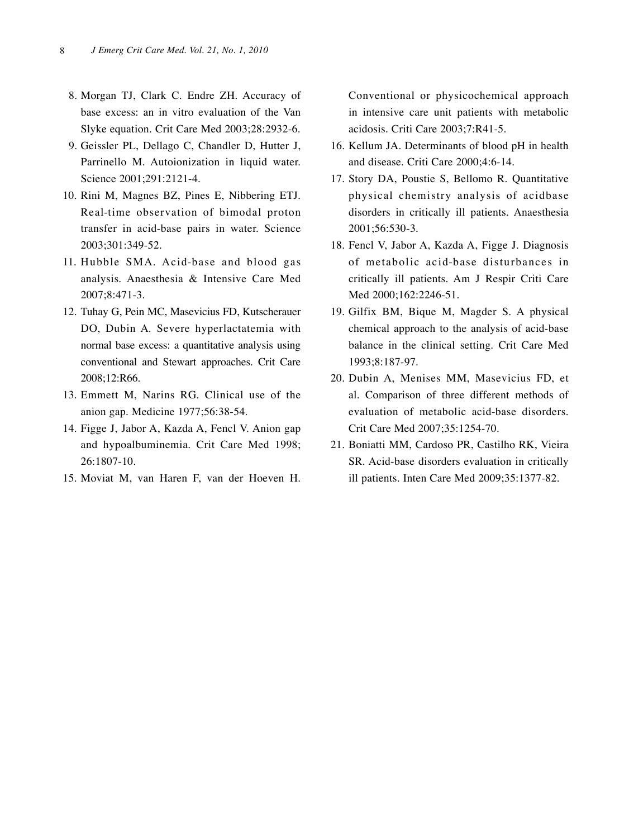- 8. Morgan TJ, Clark C. Endre ZH. Accuracy of base excess: an in vitro evaluation of the Van Slyke equation. Crit Care Med 2003;28:2932-6.
- 9. Geissler PL, Dellago C, Chandler D, Hutter J, Parrinello M. Autoionization in liquid water. Science 2001;291:2121-4.
- 0. Rini M, Magnes BZ, Pines E, Nibbering ETJ. Real-time observation of bimodal proton transfer in acid-base pairs in water. Science 2003:301:349-52.
- . Hubble SMA. Acid-base and blood gas analysis. Anaesthesia & Intensive Care Med 2007;8:47-3.
- 2. Tuhay G, Pein MC, Masevicius FD, Kutscherauer DO, Dubin A. Severe hyperlactatemia with normal base excess: a quantitative analysis using conventional and Stewart approaches. Crit Care 2008;2:R66.
- 3. Emmett M, Narins RG. Clinical use of the anion gap. Medicine 1977;56:38-54.
- 4. Figge J, Jabor A, Kazda A, Fencl V. Anion gap and hypoalbuminemia. Crit Care Med 1998; 26:807-0.
- 5. Moviat M, van Haren F, van der Hoeven H.

Conventional or physicochemical approach in intensive care unit patients with metabolic acidosis. Criti Care 2003;7:R41-5.

- 6. Kellum JA. Determinants of blood pH in health and disease. Criti Care 2000;4:6-4.
- 7. Story DA, Poustie S, Bellomo R. Quantitative physical chemistry analysis of acidbase disorders in critically ill patients. Anaesthesia 2001;56:530-3.
- 18. Fencl V, Jabor A, Kazda A, Figge J. Diagnosis of metabolic acid-base disturbances in critically ill patients. Am J Respir Criti Care Med 2000;162:2246-51.
- 9. Gilfix BM, Bique M, Magder S. A physical chemical approach to the analysis of acid-base balance in the clinical setting. Crit Care Med 1993;8:187-97.
- 20. Dubin A, Menises MM, Masevicius FD, et al. Comparison of three different methods of evaluation of metabolic acid-base disorders. Crit Care Med 2007;35:1254-70.
- 21. Boniatti MM, Cardoso PR, Castilho RK, Vieira SR. Acid-base disorders evaluation in critically ill patients. Inten Care Med 2009;35:1377-82.